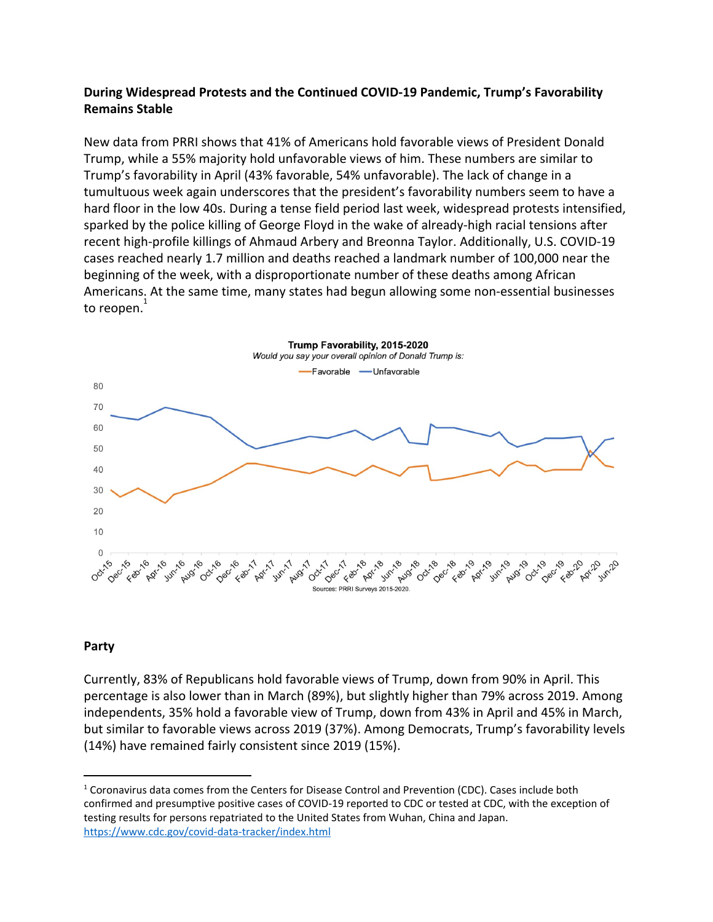### **During Widespread Protests and the Continued COVID-19 Pandemic, Trump's Favorability Remains Stable**

New data from PRRI shows that 41% of Americans hold favorable views of President Donald Trump, while a 55% majority hold unfavorable views of him. These numbers are similar to Trump's favorability in April (43% favorable, 54% unfavorable). The lack of change in a tumultuous week again underscores that the president's favorability numbers seem to have a hard floor in the low 40s. During a tense field period last week, widespread protests intensified, sparked by the police killing of George Floyd in the wake of already-high racial tensions after recent high-profile killings of Ahmaud Arbery and Breonna Taylor. Additionally, U.S. COVID-19 cases reached nearly 1.7 million and deaths reached a landmark number of 100,000 near the beginning of the week, with a disproportionate number of these deaths among African Americans. At the same time, many states had begun allowing some non-essential businesses to reopen. $^{\rm 1}$ 



#### **Party**

Currently, 83% of Republicans hold favorable views of Trump, down from 90% in April. This percentage is also lower than in March (89%), but slightly higher than 79% across 2019. Among independents, 35% hold a favorable view of Trump, down from 43% in April and 45% in March, but similar to favorable views across 2019 (37%). Among Democrats, Trump's favorability levels (14%) have remained fairly consistent since 2019 (15%).

<sup>&</sup>lt;sup>1</sup> Coronavirus data comes from the Centers for Disease Control and Prevention (CDC). Cases include both confirmed and presumptive positive cases of COVID-19 reported to CDC or tested at CDC, with the exception of testing results for persons repatriated to the United States from Wuhan, China and Japan. <https://www.cdc.gov/covid-data-tracker/index.html>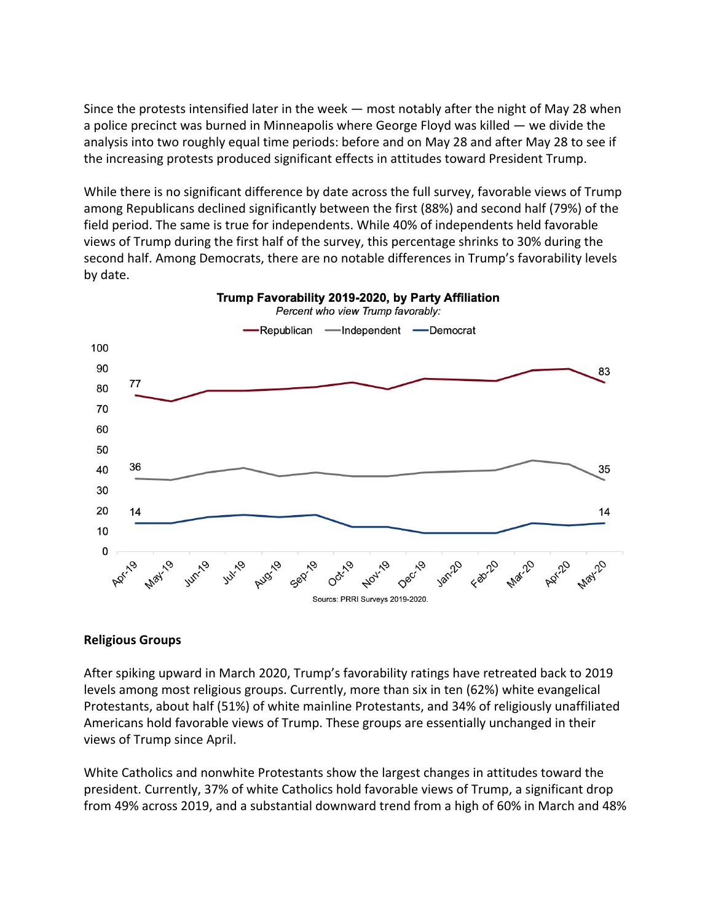Since the protests intensified later in the week — most notably after the night of May 28 when a police precinct was burned in Minneapolis where George Floyd was killed — we divide the analysis into two roughly equal time periods: before and on May 28 and after May 28 to see if the increasing protests produced significant effects in attitudes toward President Trump.

While there is no significant difference by date across the full survey, favorable views of Trump among Republicans declined significantly between the first (88%) and second half (79%) of the field period. The same is true for independents. While 40% of independents held favorable views of Trump during the first half of the survey, this percentage shrinks to 30% during the second half. Among Democrats, there are no notable differences in Trump's favorability levels by date.



# Trump Favorability 2019-2020, by Party Affiliation

#### **Religious Groups**

After spiking upward in March 2020, Trump's favorability ratings have retreated back to 2019 levels among most religious groups. Currently, more than six in ten (62%) white evangelical Protestants, about half (51%) of white mainline Protestants, and 34% of religiously unaffiliated Americans hold favorable views of Trump. These groups are essentially unchanged in their views of Trump since April.

White Catholics and nonwhite Protestants show the largest changes in attitudes toward the president. Currently, 37% of white Catholics hold favorable views of Trump, a significant drop from 49% across 2019, and a substantial downward trend from a high of 60% in March and 48%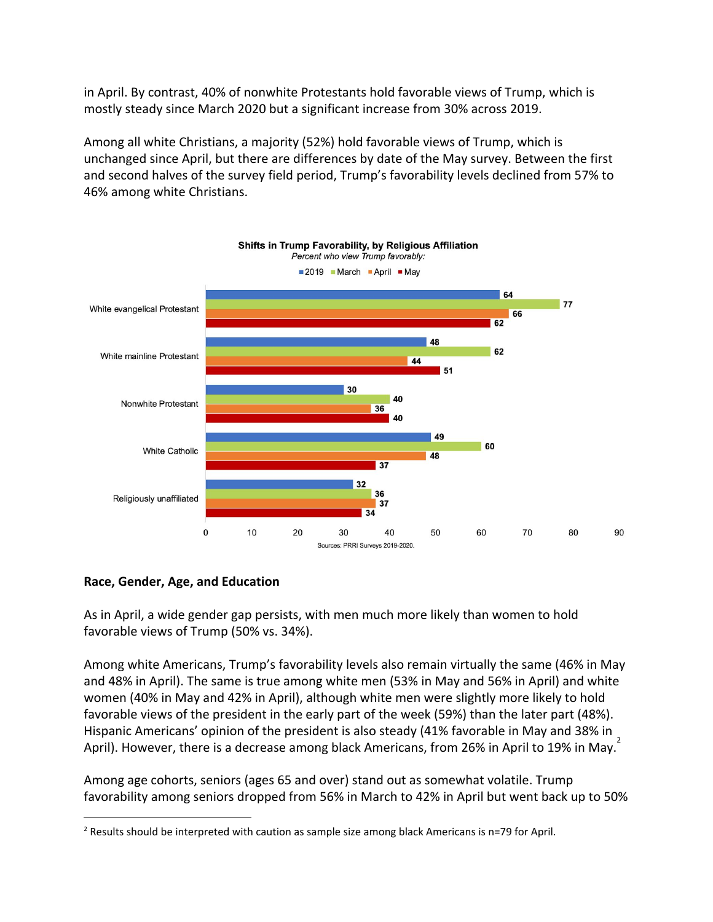in April. By contrast, 40% of nonwhite Protestants hold favorable views of Trump, which is mostly steady since March 2020 but a significant increase from 30% across 2019.

Among all white Christians, a majority (52%) hold favorable views of Trump, which is unchanged since April, but there are differences by date of the May survey. Between the first and second halves of the survey field period, Trump's favorability levels declined from 57% to 46% among white Christians.



#### **Race, Gender, Age, and Education**

As in April, a wide gender gap persists, with men much more likely than women to hold favorable views of Trump (50% vs. 34%).

Among white Americans, Trump's favorability levels also remain virtually the same (46% in May and 48% in April). The same is true among white men (53% in May and 56% in April) and white women (40% in May and 42% in April), although white men were slightly more likely to hold favorable views of the president in the early part of the week (59%) than the later part (48%). Hispanic Americans' opinion of the president is also steady (41% favorable in May and 38% in April). However, there is a decrease among black Americans, from 26% in April to 19% in May.<sup>2</sup>

Among age cohorts, seniors (ages 65 and over) stand out as somewhat volatile. Trump favorability among seniors dropped from 56% in March to 42% in April but went back up to 50%

<sup>&</sup>lt;sup>2</sup> Results should be interpreted with caution as sample size among black Americans is n=79 for April.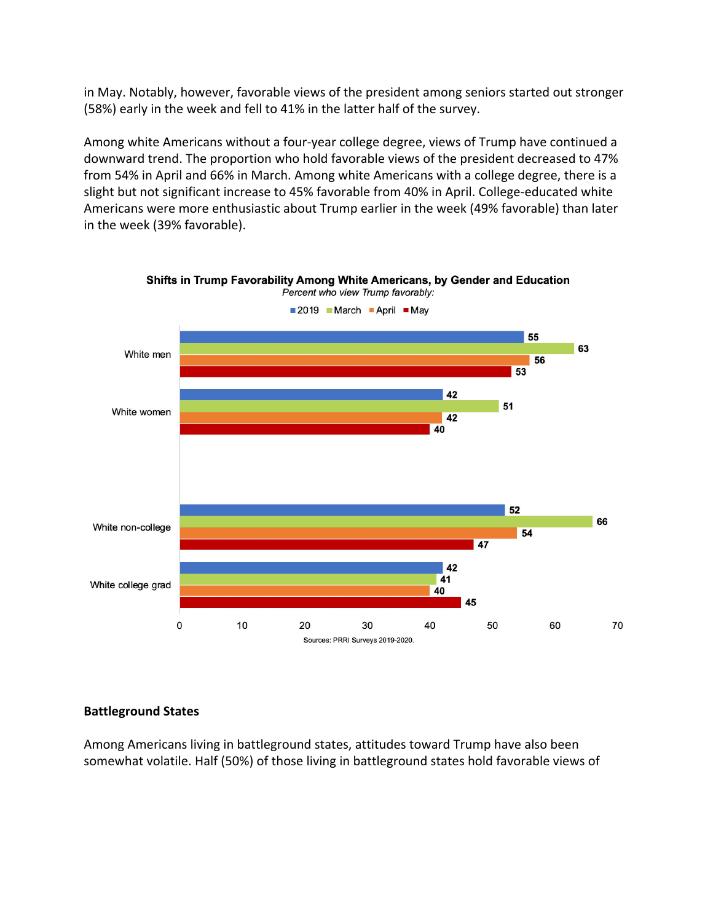in May. Notably, however, favorable views of the president among seniors started out stronger (58%) early in the week and fell to 41% in the latter half of the survey.

Among white Americans without a four-year college degree, views of Trump have continued a downward trend. The proportion who hold favorable views of the president decreased to 47% from 54% in April and 66% in March. Among white Americans with a college degree, there is a slight but not significant increase to 45% favorable from 40% in April. College-educated white Americans were more enthusiastic about Trump earlier in the week (49% favorable) than later in the week (39% favorable).



Shifts in Trump Favorability Among White Americans, by Gender and Education Percent who view Trump favorably:

## **Battleground States**

Among Americans living in battleground states, attitudes toward Trump have also been somewhat volatile. Half (50%) of those living in battleground states hold favorable views of